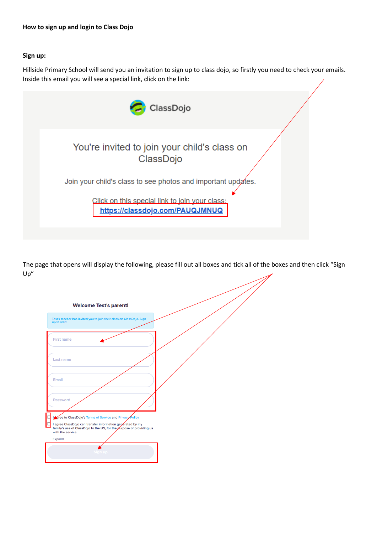## **How to sign up and login to Class Dojo**

## **Sign up:**

Hillside Primary School will send you an invitation to sign up to class dojo, so firstly you need to check your emails. Inside this email you will see a special link, click on the link:



The page that opens will display the following, please fill out all boxes and tick all of the boxes and then click "Sign Up"

| <b>Welcome Test's parent!</b>                                                                                                                                                                                                    |  |
|----------------------------------------------------------------------------------------------------------------------------------------------------------------------------------------------------------------------------------|--|
| Test's teacher has invited you to join their class on ClassDojo. Sign<br>up to start!                                                                                                                                            |  |
| <b>First name</b>                                                                                                                                                                                                                |  |
| Last name                                                                                                                                                                                                                        |  |
| Email                                                                                                                                                                                                                            |  |
| Password                                                                                                                                                                                                                         |  |
| In the to ClassDojo's Terms of Service and Privacy Policy<br>□ I agree ClassDojo can transfer information generated by my<br>family's use of ClassDojo to the US, for the purpose of providing us<br>with the service.<br>Expand |  |
| gn up                                                                                                                                                                                                                            |  |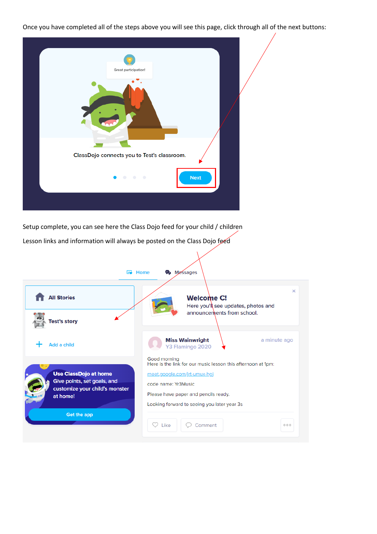Once you have completed all of the steps above you will see this page, click through all of the next buttons:

| Great participation!<br><b>TEA</b><br>٠     |  |
|---------------------------------------------|--|
| ClassDojo connects you to Test's classroom. |  |
| <b>Next</b><br>0.0000                       |  |
|                                             |  |

Setup complete, you can see here the Class Dojo feed for your child / children

Lesson links and information will always be posted on the Class Dojo feed